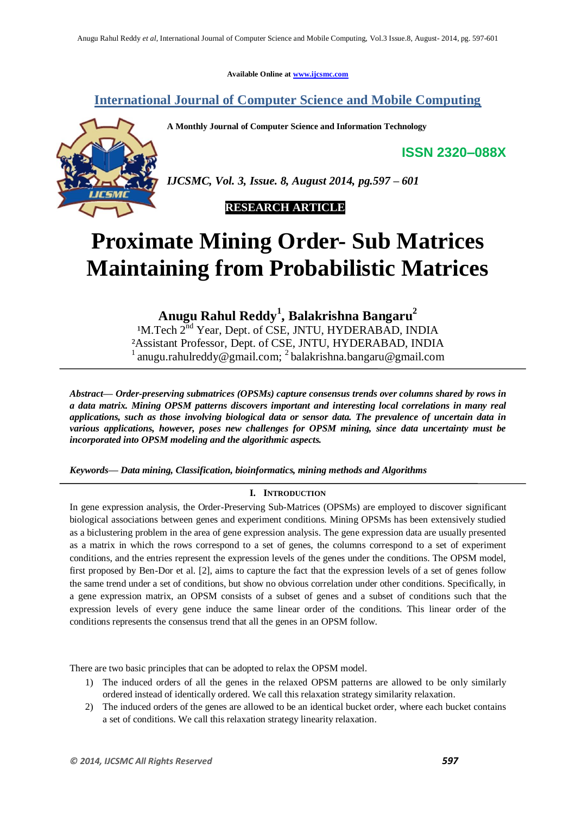**Available Online at www.ijcsmc.com**

## **International Journal of Computer Science and Mobile Computing**

**A Monthly Journal of Computer Science and Information Technology**

**ISSN 2320–088X**



*IJCSMC, Vol. 3, Issue. 8, August 2014, pg.597 – 601*



# **Proximate Mining Order- Sub Matrices Maintaining from Probabilistic Matrices**

**Anugu Rahul Reddy<sup>1</sup> , Balakrishna Bangaru<sup>2</sup>**

<sup>1</sup>M.Tech 2<sup>nd</sup> Year, Dept. of CSE, JNTU, HYDERABAD, INDIA ²Assistant Professor, Dept. of CSE, JNTU, HYDERABAD, INDIA <sup>1</sup> anugu.rahulreddy@gmail.com; <sup>2</sup> balakrishna.bangaru@gmail.com

*Abstract— Order-preserving submatrices (OPSMs) capture consensus trends over columns shared by rows in a data matrix. Mining OPSM patterns discovers important and interesting local correlations in many real applications, such as those involving biological data or sensor data. The prevalence of uncertain data in various applications, however, poses new challenges for OPSM mining, since data uncertainty must be incorporated into OPSM modeling and the algorithmic aspects.*

*Keywords— Data mining, Classification, bioinformatics, mining methods and Algorithms*

#### **I. INTRODUCTION**

In gene expression analysis, the Order-Preserving Sub-Matrices (OPSMs) are employed to discover significant biological associations between genes and experiment conditions. Mining OPSMs has been extensively studied as a biclustering problem in the area of gene expression analysis. The gene expression data are usually presented as a matrix in which the rows correspond to a set of genes, the columns correspond to a set of experiment conditions, and the entries represent the expression levels of the genes under the conditions. The OPSM model, first proposed by Ben-Dor et al. [2], aims to capture the fact that the expression levels of a set of genes follow the same trend under a set of conditions, but show no obvious correlation under other conditions. Specifically, in a gene expression matrix, an OPSM consists of a subset of genes and a subset of conditions such that the expression levels of every gene induce the same linear order of the conditions. This linear order of the conditions represents the consensus trend that all the genes in an OPSM follow.

There are two basic principles that can be adopted to relax the OPSM model.

- 1) The induced orders of all the genes in the relaxed OPSM patterns are allowed to be only similarly ordered instead of identically ordered. We call this relaxation strategy similarity relaxation.
- 2) The induced orders of the genes are allowed to be an identical bucket order, where each bucket contains a set of conditions. We call this relaxation strategy linearity relaxation.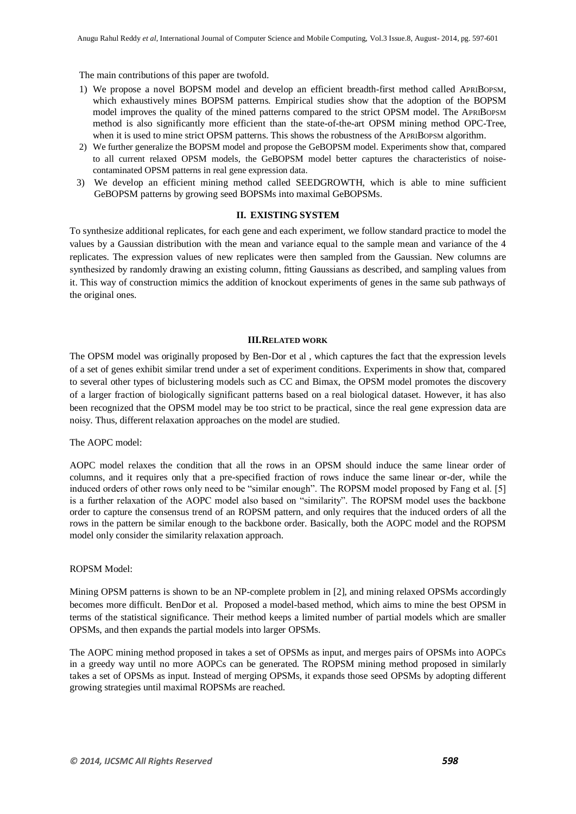The main contributions of this paper are twofold.

- 1) We propose a novel BOPSM model and develop an efficient breadth-first method called APRIBOPSM, which exhaustively mines BOPSM patterns. Empirical studies show that the adoption of the BOPSM model improves the quality of the mined patterns compared to the strict OPSM model. The APRIBOPSM method is also significantly more efficient than the state-of-the-art OPSM mining method OPC-Tree, when it is used to mine strict OPSM patterns. This shows the robustness of the APRIBOPSM algorithm.
- 2) We further generalize the BOPSM model and propose the GeBOPSM model. Experiments show that, compared to all current relaxed OPSM models, the GeBOPSM model better captures the characteristics of noisecontaminated OPSM patterns in real gene expression data.
- 3) We develop an efficient mining method called SEEDGROWTH, which is able to mine sufficient GeBOPSM patterns by growing seed BOPSMs into maximal GeBOPSMs.

#### **II. EXISTING SYSTEM**

To synthesize additional replicates, for each gene and each experiment, we follow standard practice to model the values by a Gaussian distribution with the mean and variance equal to the sample mean and variance of the 4 replicates. The expression values of new replicates were then sampled from the Gaussian. New columns are synthesized by randomly drawing an existing column, fitting Gaussians as described, and sampling values from it. This way of construction mimics the addition of knockout experiments of genes in the same sub pathways of the original ones.

#### **III.RELATED WORK**

The OPSM model was originally proposed by Ben-Dor et al , which captures the fact that the expression levels of a set of genes exhibit similar trend under a set of experiment conditions. Experiments in show that, compared to several other types of biclustering models such as CC and Bimax, the OPSM model promotes the discovery of a larger fraction of biologically significant patterns based on a real biological dataset. However, it has also been recognized that the OPSM model may be too strict to be practical, since the real gene expression data are noisy. Thus, different relaxation approaches on the model are studied.

#### The AOPC model:

AOPC model relaxes the condition that all the rows in an OPSM should induce the same linear order of columns, and it requires only that a pre-specified fraction of rows induce the same linear or-der, while the induced orders of other rows only need to be "similar enough". The ROPSM model proposed by Fang et al. [5] is a further relaxation of the AOPC model also based on "similarity". The ROPSM model uses the backbone order to capture the consensus trend of an ROPSM pattern, and only requires that the induced orders of all the rows in the pattern be similar enough to the backbone order. Basically, both the AOPC model and the ROPSM model only consider the similarity relaxation approach.

#### ROPSM Model:

Mining OPSM patterns is shown to be an NP-complete problem in [2], and mining relaxed OPSMs accordingly becomes more difficult. BenDor et al. Proposed a model-based method, which aims to mine the best OPSM in terms of the statistical significance. Their method keeps a limited number of partial models which are smaller OPSMs, and then expands the partial models into larger OPSMs.

The AOPC mining method proposed in takes a set of OPSMs as input, and merges pairs of OPSMs into AOPCs in a greedy way until no more AOPCs can be generated. The ROPSM mining method proposed in similarly takes a set of OPSMs as input. Instead of merging OPSMs, it expands those seed OPSMs by adopting different growing strategies until maximal ROPSMs are reached.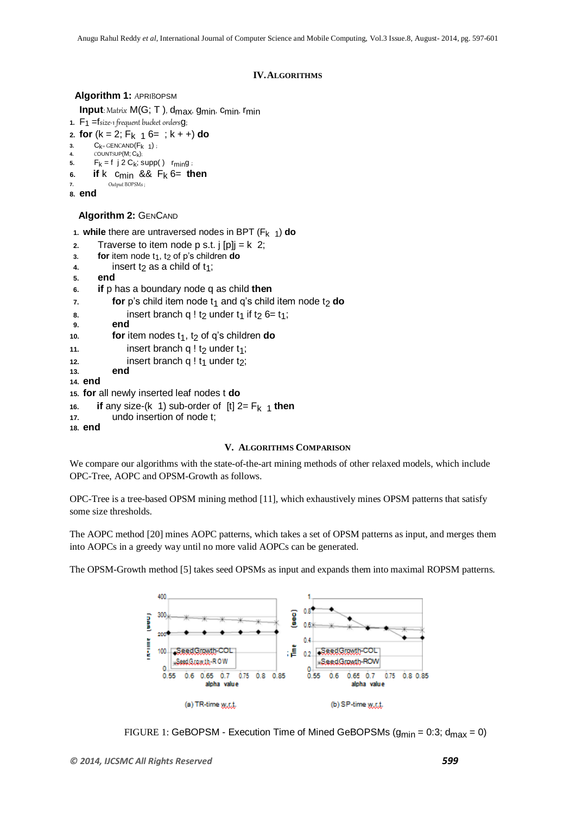#### **IV.ALGORITHMS**

#### **Algorithm 1:** APRIBOPSM

**Input**: Matrix M(G; T), d<sub>max</sub>, g<sub>min</sub>, c<sub>min</sub>, r<sub>min</sub>

- **1.**  $F_1$  = fsize-1 frequent bucket orders **g**;
- 2. **for**  $(k = 2; F_k \t_1 6 = ; k + 4)$  **do**
- **3.**  $C_{k} = \text{GENCAND}(F_{k-1})$ ;<br>**4. COUNTSUP(M: C**<sub>k</sub>):
- **4.** COUNTSUP(M;  $C_k$ );<br>**5. F** $k = 12 C_k$ ;
- $F_k = f$  j 2  $C_k$ ; supp()  $r_{min}g$ ;
- **6. if**  $k$  **c**<sub>min</sub> &&  $F_k$  6= **then**<br>**7.** Output BOPSMs: **7.** Output BOPSMs ;

**8. end** 

### **Algorithm 2:** GENCAND

1. **while** there are untraversed nodes in BPT ( $F_k$   $_1$ ) **do** 

- **2.** Traverse to item node p s.t. j  $[p]$ j = k 2;
- $3.$  **for** item node  $t_1$ ,  $t_2$  of p's children **do**
- **4.** insert  $t_2$  as a child of  $t_1$ ;
- **5. end**
- **6. if** p has a boundary node q as child **then**
- $\mathbf{r}$ . **for**  $\mathbf{p}'$ 's child item node  $\mathbf{t}_1$  and  $\mathbf{q}'$ 's child item node  $\mathbf{t}_2$  **do**
- **8.** insert branch q !  $t_2$  under  $t_1$  if  $t_2$  6=  $t_1$ ;<br>**9. end**
- **9. end**
- 10. **for** item nodes t<sub>1</sub>, t<sub>2</sub> of q's children **do**
- 11. **insert branch q ! t<sub>2</sub> under t<sub>1</sub>;**
- 12. **insert branch q !**  $t_1$  **under**  $t_2$ **;**<br>13. **end**
- **13. end**
- **14. end**
- **15. for** all newly inserted leaf nodes t **do**
- 16. **if** any size-(k 1) sub-order of  $[t]$  2=  $F_{k+1}$  then<br>17. undo insertion of node t;
- **17.** undo insertion of node t;
- **18. end**

#### **V. ALGORITHMS COMPARISON**

We compare our algorithms with the state-of-the-art mining methods of other relaxed models, which include OPC-Tree, AOPC and OPSM-Growth as follows.

OPC-Tree is a tree-based OPSM mining method [11], which exhaustively mines OPSM patterns that satisfy some size thresholds.

The AOPC method [20] mines AOPC patterns, which takes a set of OPSM patterns as input, and merges them into AOPCs in a greedy way until no more valid AOPCs can be generated.

The OPSM-Growth method [5] takes seed OPSMs as input and expands them into maximal ROPSM patterns.



```
FIGURE 1: GeBOPSM - Execution Time of Mined GeBOPSMs (g_{min} = 0.3; d_{max} = 0)
```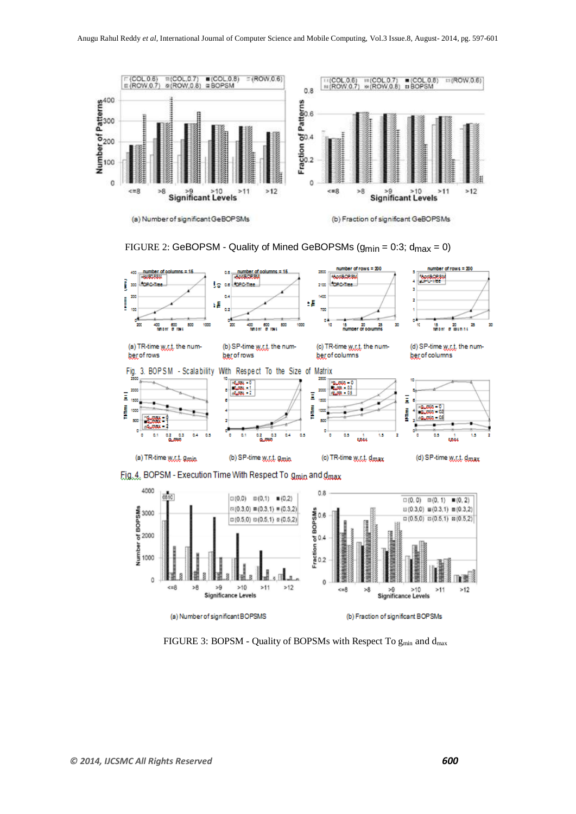







FIGURE 3: BOPSM - Quality of BOPSMs with Respect To  $g_{min}$  and  $d_{max}$